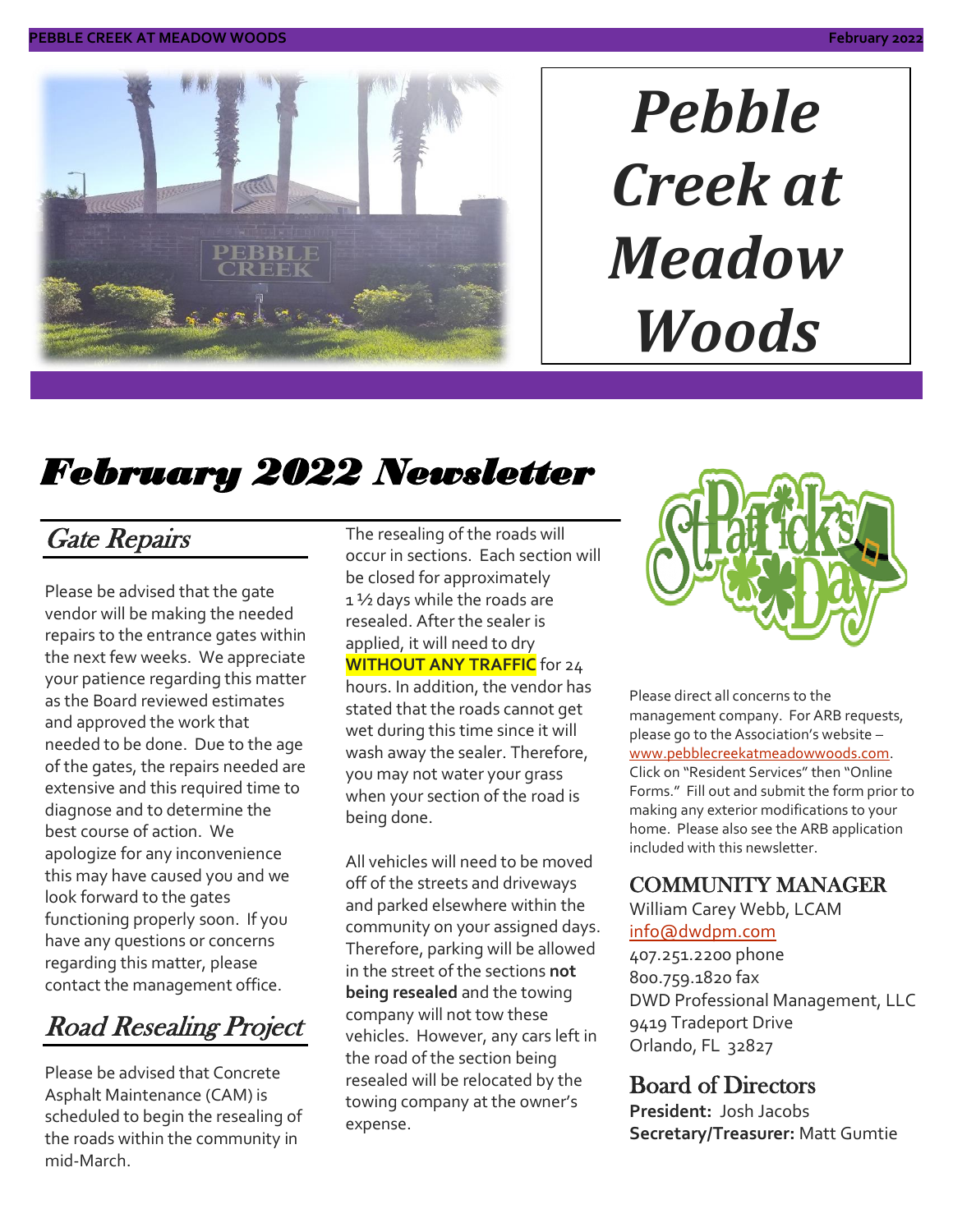

# *Pebble Creek at Meadow Woods*

# *February 2022 Newsletter*

# Gate Repairs

Please be advised that the gate vendor will be making the needed repairs to the entrance gates within the next few weeks. We appreciate your patience regarding this matter as the Board reviewed estimates and approved the work that needed to be done. Due to the age of the gates, the repairs needed are extensive and this required time to diagnose and to determine the best course of action. We apologize for any inconvenience this may have caused you and we look forward to the gates functioning properly soon. If you have any questions or concerns regarding this matter, please contact the management office.

# Road Resealing Project

Please be advised that Concrete Asphalt Maintenance (CAM) is scheduled to begin the resealing of the roads within the community in mid-March.

The resealing of the roads will occur in sections. Each section will be closed for approximately 1 ½ days while the roads are resealed. After the sealer is applied, it will need to dry **WITHOUT ANY TRAFFIC** for 24 hours. In addition, the vendor has stated that the roads cannot get wet during this time since it will wash away the sealer. Therefore, you may not water your grass when your section of the road is being done.

All vehicles will need to be moved off of the streets and driveways and parked elsewhere within the community on your assigned days. Therefore, parking will be allowed in the street of the sections **not being resealed** and the towing company will not tow these vehicles. However, any cars left in the road of the section being resealed will be relocated by the towing company at the owner's expense.



Please direct all concerns to the management company. For ARB requests, please go to the Association's website – [www.pebblecreekatmeadowwoods.com.](http://www.pebblecreekatmeadowwoods.com/) Click on "Resident Services" then "Online Forms." Fill out and submit the form prior to making any exterior modifications to your home. Please also see the ARB application included with this newsletter.

#### COMMUNITY MANAGER

William Carey Webb, LCAM [info@dwdpm.com](mailto:info@dwdpm.com) 

407.251.2200 phone 800.759.1820 fax DWD Professional Management, LLC 9419 Tradeport Drive Orlando, FL 32827

#### Board of Directors

**President:** Josh Jacobs **Secretary/Treasurer:** Matt Gumtie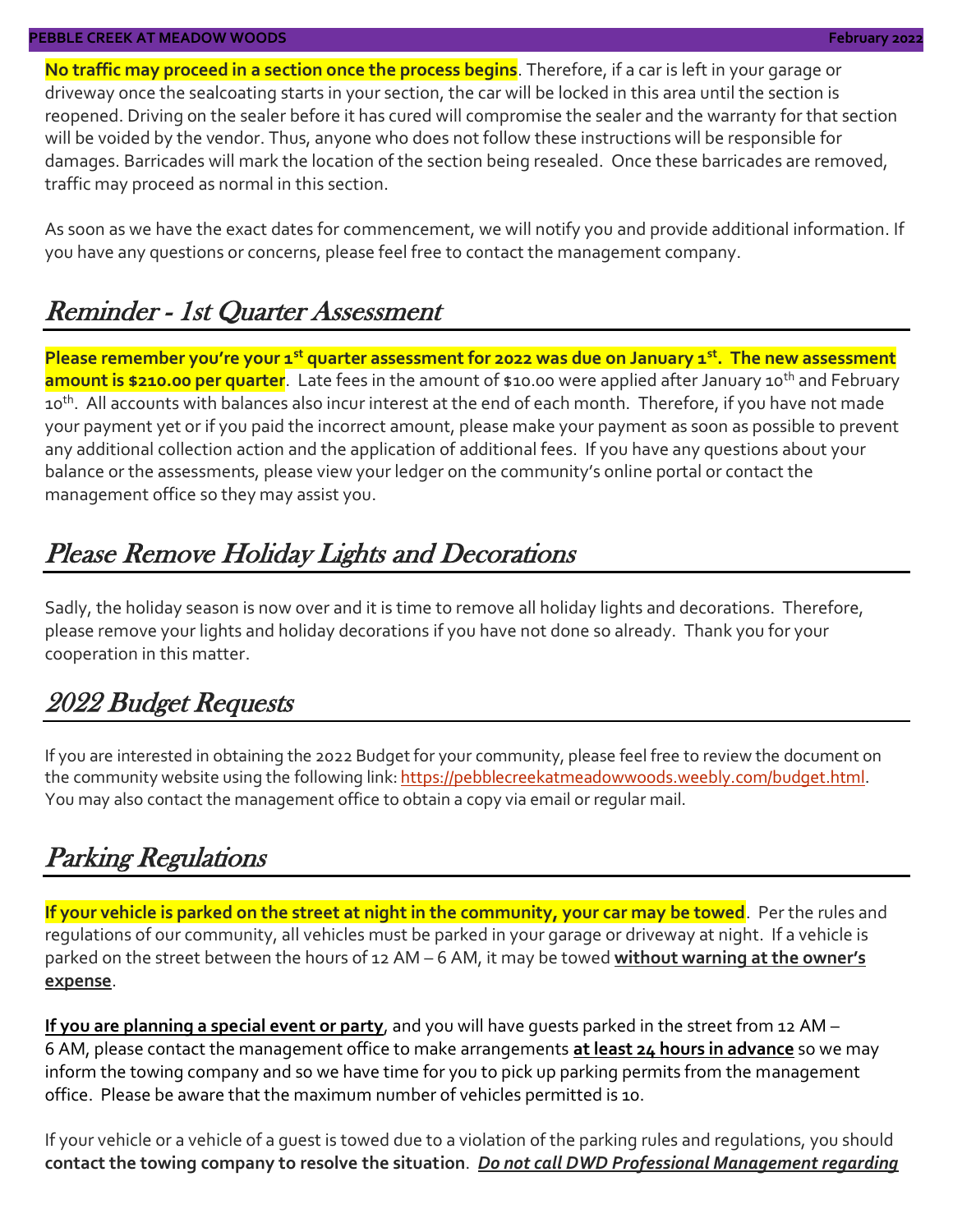#### **PEBBLE CREEK AT MEADOW WOODS February 2022**

**No traffic may proceed in a section once the process begins**. Therefore, if a car is left in your garage or driveway once the sealcoating starts in your section, the car will be locked in this area until the section is reopened. Driving on the sealer before it has cured will compromise the sealer and the warranty for that section will be voided by the vendor. Thus, anyone who does not follow these instructions will be responsible for damages. Barricades will mark the location of the section being resealed. Once these barricades are removed, traffic may proceed as normal in this section.

As soon as we have the exact dates for commencement, we will notify you and provide additional information. If you have any questions or concerns, please feel free to contact the management company.

#### Reminder - 1st Quarter Assessment

**Please remember you're your 1st quarter assessment for 2022 was due on January 1st. The new assessment amount is \$210.00 per quarter**. Late fees in the amount of \$10.00 were applied after January 10<sup>th</sup> and February 10<sup>th</sup>. All accounts with balances also incur interest at the end of each month. Therefore, if you have not made your payment yet or if you paid the incorrect amount, please make your payment as soon as possible to prevent any additional collection action and the application of additional fees. If you have any questions about your balance or the assessments, please view your ledger on the community's online portal or contact the management office so they may assist you.

### Please Remove Holiday Lights and Decorations

Sadly, the holiday season is now over and it is time to remove all holiday lights and decorations. Therefore, please remove your lights and holiday decorations if you have not done so already. Thank you for your cooperation in this matter.

#### 2022 Budget Requests

If you are interested in obtaining the 2022 Budget for your community, please feel free to review the document on the community website using the following link: [https://pebblecreekatmeadowwoods.weebly.com/budget.html.](https://pebblecreekatmeadowwoods.weebly.com/budget.html) You may also contact the management office to obtain a copy via email or regular mail.

### Parking Regulations

**If your vehicle is parked on the street at night in the community, your car may be towed**. Per the rules and regulations of our community, all vehicles must be parked in your garage or driveway at night. If a vehicle is parked on the street between the hours of 12 AM – 6 AM, it may be towed **without warning at the owner's expense**.

**If you are planning a special event or party**, and you will have guests parked in the street from 12 AM – 6 AM, please contact the management office to make arrangements **at least 24 hours in advance** so we may inform the towing company and so we have time for you to pick up parking permits from the management office. Please be aware that the maximum number of vehicles permitted is 10.

If your vehicle or a vehicle of a guest is towed due to a violation of the parking rules and regulations, you should **contact the towing company to resolve the situation**. *Do not call DWD Professional Management regarding*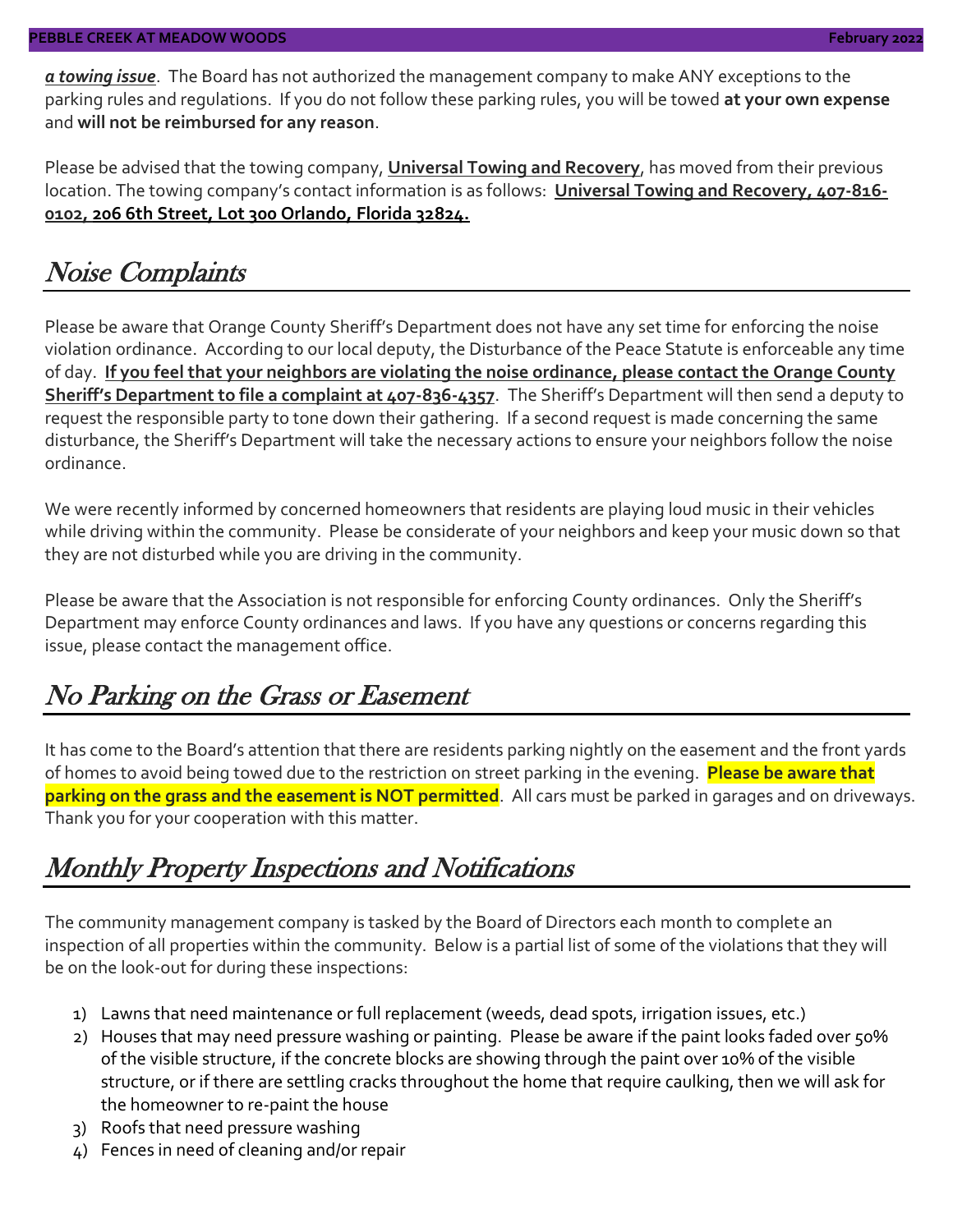*a towing issue*. The Board has not authorized the management company to make ANY exceptions to the parking rules and regulations. If you do not follow these parking rules, you will be towed **at your own expense** and **will not be reimbursed for any reason**.

Please be advised that the towing company, **Universal Towing and Recovery**, has moved from their previous location. The towing company's contact information is as follows: **Universal Towing and Recovery, 407-816- 0102, 206 6th Street, Lot 300 Orlando, Florida 32824.**

### Noise Complaints

Please be aware that Orange County Sheriff's Department does not have any set time for enforcing the noise violation ordinance. According to our local deputy, the Disturbance of the Peace Statute is enforceable any time of day. **If you feel that your neighbors are violating the noise ordinance, please contact the Orange County Sheriff's Department to file a complaint at 407-836-4357**. The Sheriff's Department will then send a deputy to request the responsible party to tone down their gathering. If a second request is made concerning the same disturbance, the Sheriff's Department will take the necessary actions to ensure your neighbors follow the noise ordinance.

We were recently informed by concerned homeowners that residents are playing loud music in their vehicles while driving within the community. Please be considerate of your neighbors and keep your music down so that they are not disturbed while you are driving in the community.

Please be aware that the Association is not responsible for enforcing County ordinances. Only the Sheriff's Department may enforce County ordinances and laws. If you have any questions or concerns regarding this issue, please contact the management office.

### No Parking on the Grass or Easement

It has come to the Board's attention that there are residents parking nightly on the easement and the front yards of homes to avoid being towed due to the restriction on street parking in the evening. **Please be aware that parking on the grass and the easement is NOT permitted**. All cars must be parked in garages and on driveways. Thank you for your cooperation with this matter.

# Monthly Property Inspections and Notifications

The community management company is tasked by the Board of Directors each month to complete an inspection of all properties within the community. Below is a partial list of some of the violations that they will be on the look-out for during these inspections:

- 1) Lawns that need maintenance or full replacement (weeds, dead spots, irrigation issues, etc.)
- 2) Houses that may need pressure washing or painting. Please be aware if the paint looks faded over 50% of the visible structure, if the concrete blocks are showing through the paint over 10% of the visible structure, or if there are settling cracks throughout the home that require caulking, then we will ask for the homeowner to re-paint the house
- 3) Roofs that need pressure washing
- 4) Fences in need of cleaning and/or repair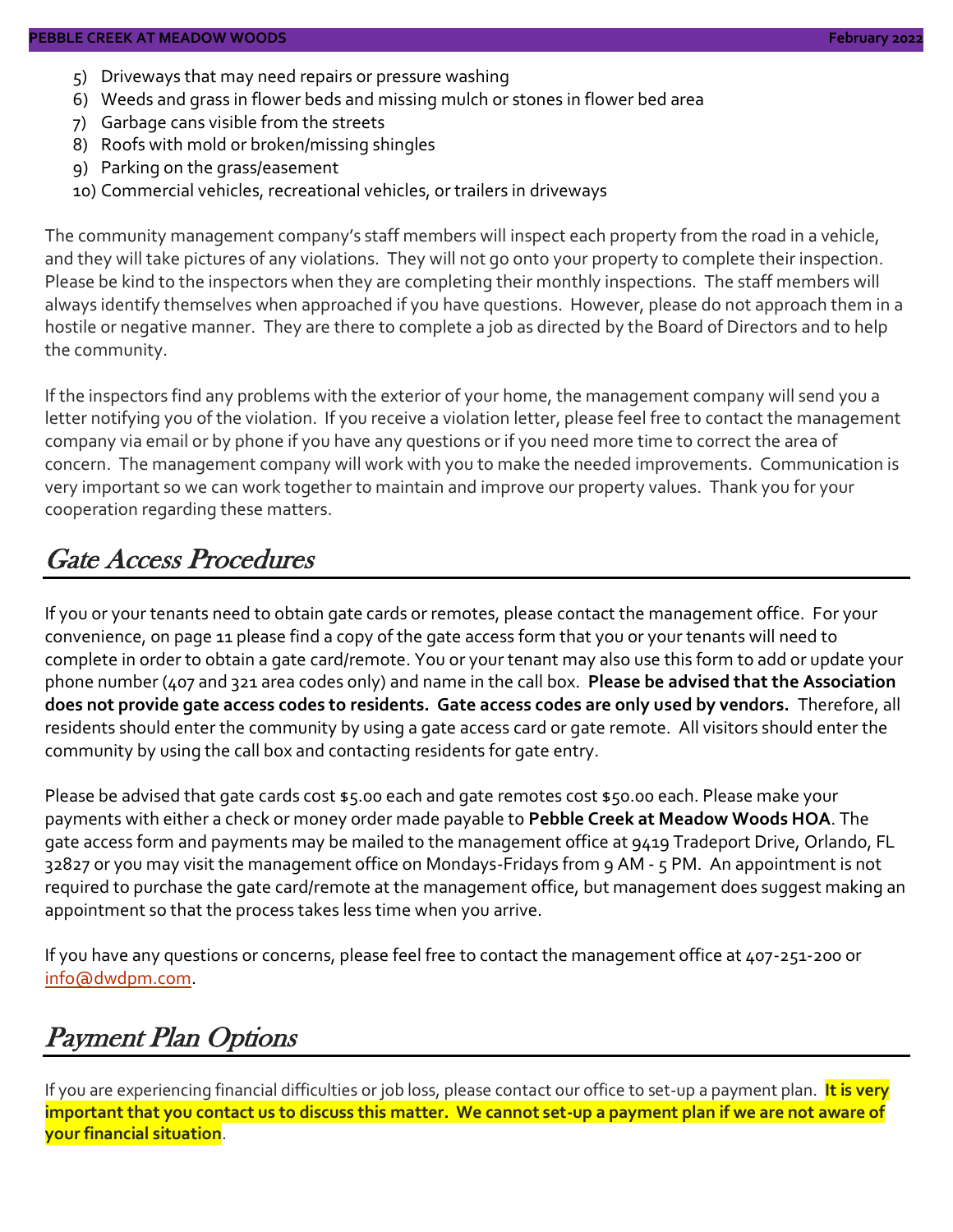- 5) Driveways that may need repairs or pressure washing
- 6) Weeds and grass in flower beds and missing mulch or stones in flower bed area
- 7) Garbage cans visible from the streets
- 8) Roofs with mold or broken/missing shingles
- 9) Parking on the grass/easement
- 10) Commercial vehicles, recreational vehicles, or trailers in driveways

The community management company's staff members will inspect each property from the road in a vehicle, and they will take pictures of any violations. They will not go onto your property to complete their inspection. Please be kind to the inspectors when they are completing their monthly inspections. The staff members will always identify themselves when approached if you have questions. However, please do not approach them in a hostile or negative manner. They are there to complete a job as directed by the Board of Directors and to help the community.

If the inspectors find any problems with the exterior of your home, the management company will send you a letter notifying you of the violation. If you receive a violation letter, please feel free to contact the management company via email or by phone if you have any questions or if you need more time to correct the area of concern. The management company will work with you to make the needed improvements. Communication is very important so we can work together to maintain and improve our property values. Thank you for your cooperation regarding these matters.

#### Gate Access Procedures

If you or your tenants need to obtain gate cards or remotes, please contact the management office. For your convenience, on page 11 please find a copy of the gate access form that you or your tenants will need to complete in order to obtain a gate card/remote. You or your tenant may also use this form to add or update your phone number (407 and 321 area codes only) and name in the call box. **Please be advised that the Association does not provide gate access codes to residents. Gate access codes are only used by vendors.** Therefore, all residents should enter the community by using a gate access card or gate remote. All visitors should enter the community by using the call box and contacting residents for gate entry.

Please be advised that gate cards cost \$5.00 each and gate remotes cost \$50.00 each. Please make your payments with either a check or money order made payable to **Pebble Creek at Meadow Woods HOA**. The gate access form and payments may be mailed to the management office at 9419 Tradeport Drive, Orlando, FL 32827 or you may visit the management office on Mondays-Fridays from 9 AM - 5 PM. An appointment is not required to purchase the gate card/remote at the management office, but management does suggest making an appointment so that the process takes less time when you arrive.

If you have any questions or concerns, please feel free to contact the management office at 407-251-200 or [info@dwdpm.com.](mailto:info@dwdpm.com)

#### Payment Plan Options

If you are experiencing financial difficulties or job loss, please contact our office to set-up a payment plan. **It is very important that you contact us to discuss this matter. We cannot set-up a payment plan if we are not aware of your financial situation**.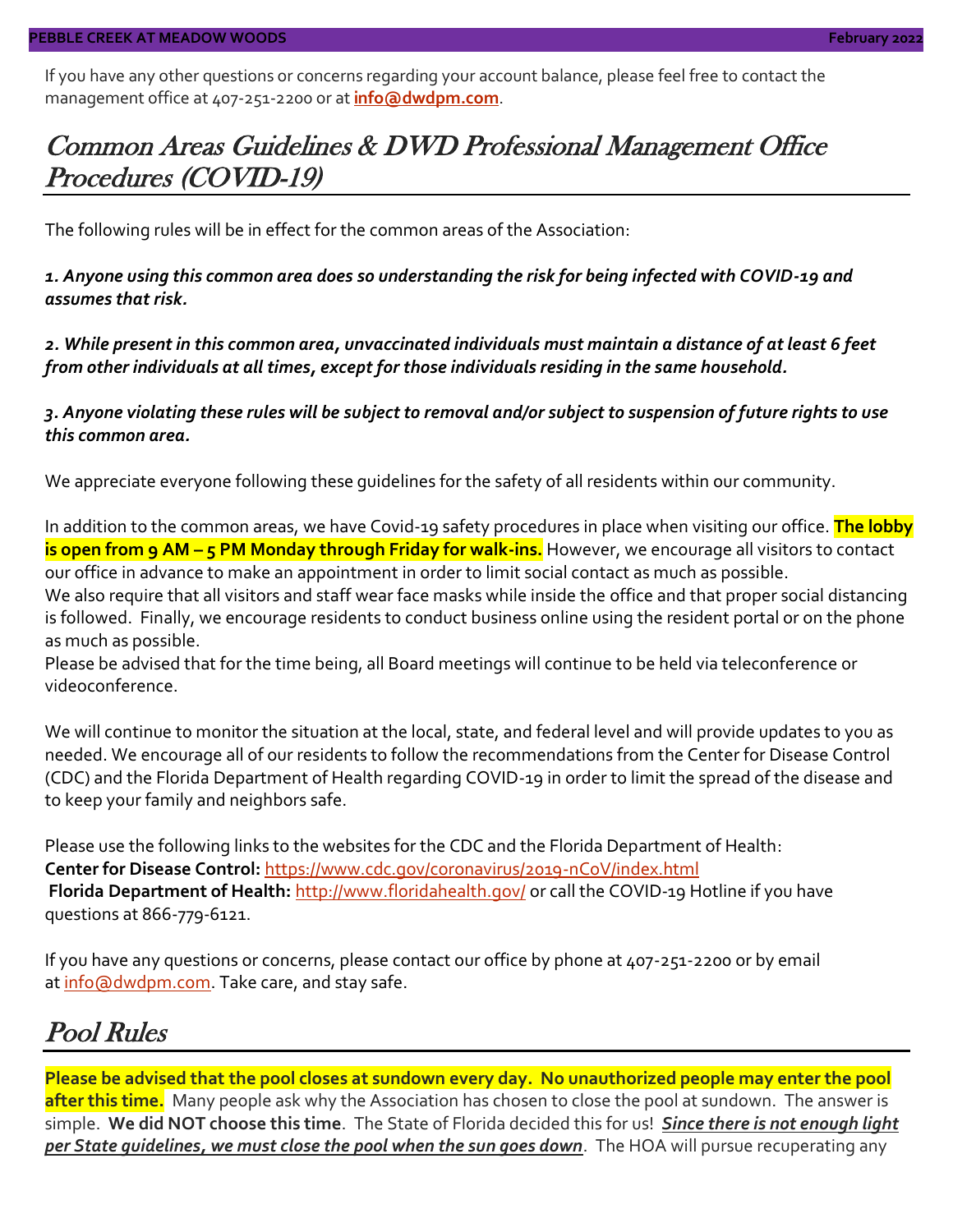If you have any other questions or concerns regarding your account balance, please feel free to contact the management office at 407-251-2200 or at **[info@dwdpm.com](mailto:info@dwdpm.com)**.

### Common Areas Guidelines & DWD Professional Management Office Procedures (COVID-19)

The following rules will be in effect for the common areas of the Association:

*1. Anyone using this common area does so understanding the risk for being infected with COVID-19 and assumes that risk.*

*2. While present in this common area, unvaccinated individuals must maintain a distance of at least 6 feet from other individuals at all times, except for those individuals residing in the same household.*

*3. Anyone violating these rules will be subject to removal and/or subject to suspension of future rights to use this common area.*

We appreciate everyone following these guidelines for the safety of all residents within our community.

In addition to the common areas, we have Covid-19 safety procedures in place when visiting our office. **The lobby is open from 9 AM – 5 PM Monday through Friday for walk-ins.** However, we encourage all visitors to contact our office in advance to make an appointment in order to limit social contact as much as possible.

We also require that all visitors and staff wear face masks while inside the office and that proper social distancing is followed. Finally, we encourage residents to conduct business online using the resident portal or on the phone as much as possible.

Please be advised that for the time being, all Board meetings will continue to be held via teleconference or videoconference.

We will continue to monitor the situation at the local, state, and federal level and will provide updates to you as needed. We encourage all of our residents to follow the recommendations from the Center for Disease Control (CDC) and the Florida Department of Health regarding COVID-19 in order to limit the spread of the disease and to keep your family and neighbors safe.

Please use the following links to the websites for the CDC and the Florida Department of Health: **Center for Disease Control:** <https://www.cdc.gov/coronavirus/2019-nCoV/index.html> Florida Department of Health: <http://www.floridahealth.gov/> or call the COVID-19 Hotline if you have questions at 866-779-6121.

If you have any questions or concerns, please contact our office by phone at 407-251-2200 or by email at [info@dwdpm.com.](mailto:info@dwdpm.com) Take care, and stay safe.

#### Pool Rules

**Please be advised that the pool closes at sundown every day. No unauthorized people may enter the pool after this time.** Many people ask why the Association has chosen to close the pool at sundown. The answer is simple. **We did NOT choose this time**. The State of Florida decided this for us! *Since there is not enough light per State guidelines, we must close the pool when the sun goes down*. The HOA will pursue recuperating any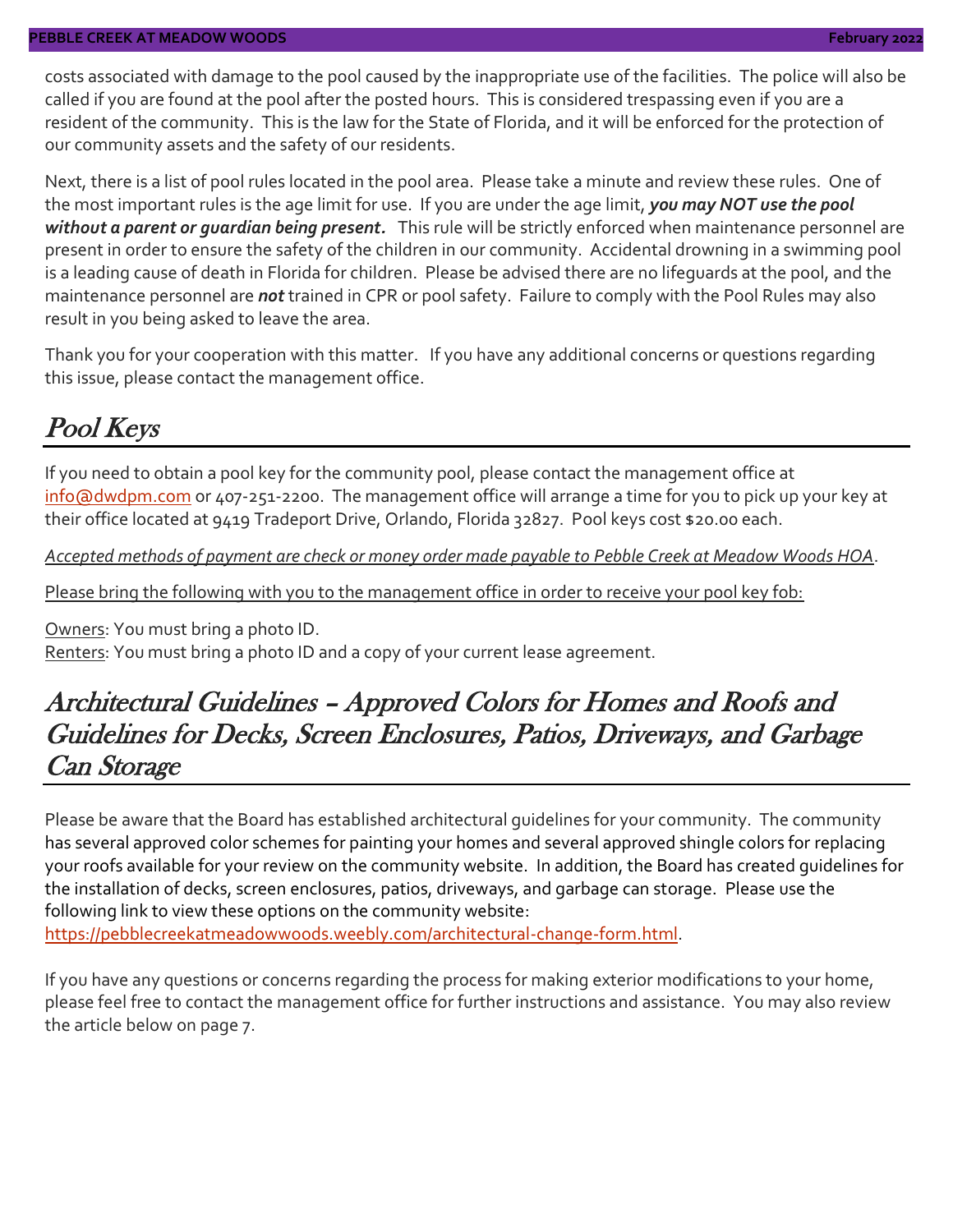costs associated with damage to the pool caused by the inappropriate use of the facilities. The police will also be called if you are found at the pool after the posted hours. This is considered trespassing even if you are a resident of the community. This is the law for the State of Florida, and it will be enforced for the protection of our community assets and the safety of our residents.

Next, there is a list of pool rules located in the pool area. Please take a minute and review these rules. One of the most important rules is the age limit for use. If you are under the age limit, *you may NOT use the pool without a parent or guardian being present.* This rule will be strictly enforced when maintenance personnel are present in order to ensure the safety of the children in our community. Accidental drowning in a swimming pool is a leading cause of death in Florida for children. Please be advised there are no lifeguards at the pool, and the maintenance personnel are *not* trained in CPR or pool safety. Failure to comply with the Pool Rules may also result in you being asked to leave the area.

Thank you for your cooperation with this matter. If you have any additional concerns or questions regarding this issue, please contact the management office.

### Pool Keys

If you need to obtain a pool key for the community pool, please contact the management office at [info@dwdpm.com](mailto:info@dwdpm.com) or 407-251-2200. The management office will arrange a time for you to pick up your key at their office located at 9419 Tradeport Drive, Orlando, Florida 32827. Pool keys cost \$20.00 each.

*Accepted methods of payment are check or money order made payable to Pebble Creek at Meadow Woods HOA*.

Please bring the following with you to the management office in order to receive your pool key fob:

Owners: You must bring a photo ID. Renters: You must bring a photo ID and a copy of your current lease agreement.

### Architectural Guidelines – Approved Colors for Homes and Roofs and Guidelines for Decks, Screen Enclosures, Patios, Driveways, and Garbage Can Storage

Please be aware that the Board has established architectural guidelines for your community. The community has several approved color schemes for painting your homes and several approved shingle colors for replacing your roofs available for your review on the community website. In addition, the Board has created guidelines for the installation of decks, screen enclosures, patios, driveways, and garbage can storage. Please use the following link to view these options on the community website: [https://pebblecreekatmeadowwoods.weebly.com/architectural-change-form.html.](https://pebblecreekatmeadowwoods.weebly.com/architectural-change-form.html)

If you have any questions or concerns regarding the process for making exterior modifications to your home, please feel free to contact the management office for further instructions and assistance. You may also review the article below on page 7.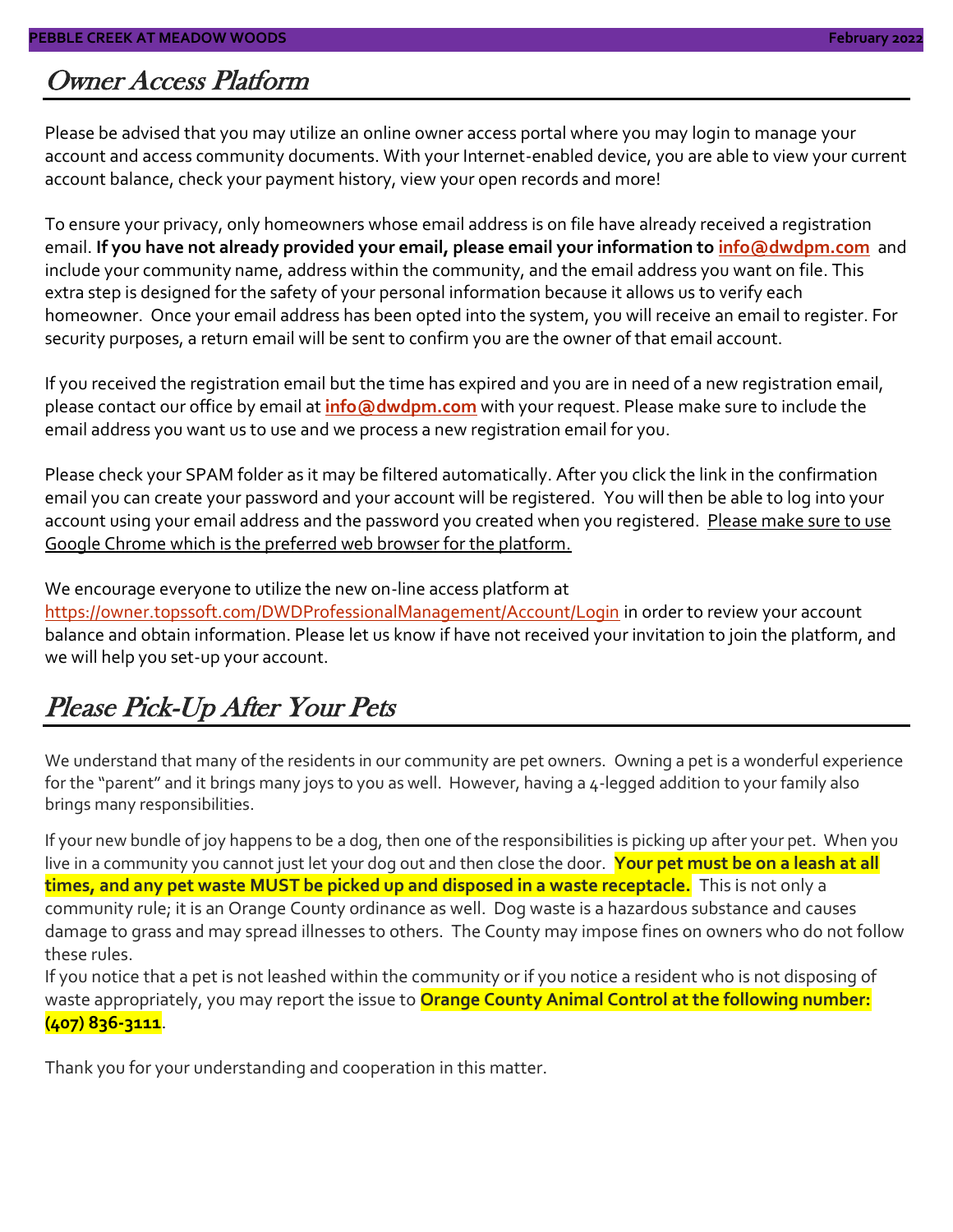#### Owner Access Platform

Please be advised that you may utilize an online owner access portal where you may login to manage your account and access community documents. With your Internet-enabled device, you are able to view your current account balance, check your payment history, view your open records and more!

To ensure your privacy, only homeowners whose email address is on file have already received a registration email. **If you have not already provided your email, please email your information to [info@dwdpm.com](mailto:info@dwdpm.com)** and include your community name, address within the community, and the email address you want on file. This extra step is designed for the safety of your personal information because it allows us to verify each homeowner. Once your email address has been opted into the system, you will receive an email to register. For security purposes, a return email will be sent to confirm you are the owner of that email account.

If you received the registration email but the time has expired and you are in need of a new registration email, please contact our office by email at **[info@dwdpm.com](mailto:info@dwdpm.com)** with your request. Please make sure to include the email address you want us to use and we process a new registration email for you.

Please check your SPAM folder as it may be filtered automatically. After you click the link in the confirmation email you can create your password and your account will be registered. You will then be able to log into your account using your email address and the password you created when you registered. Please make sure to use Google Chrome which is the preferred web browser for the platform.

We encourage everyone to utilize the new on-line access platform at

<https://owner.topssoft.com/DWDProfessionalManagement/Account/Login> in order to review your account balance and obtain information. Please let us know if have not received your invitation to join the platform, and we will help you set-up your account.

### Please Pick-Up After Your Pets

We understand that many of the residents in our community are pet owners. Owning a pet is a wonderful experience for the "parent" and it brings many joys to you as well. However, having a 4-legged addition to your family also brings many responsibilities.

If your new bundle of joy happens to be a dog, then one of the responsibilities is picking up after your pet. When you live in a community you cannot just let your dog out and then close the door. **Your pet must be on a leash at all times, and any pet waste MUST be picked up and disposed in a waste receptacle.** This is not only a community rule; it is an Orange County ordinance as well. Dog waste is a hazardous substance and causes damage to grass and may spread illnesses to others. The County may impose fines on owners who do not follow these rules.

If you notice that a pet is not leashed within the community or if you notice a resident who is not disposing of waste appropriately, you may report the issue to **Orange County Animal Control at the following number: (407) 836-3111**.

Thank you for your understanding and cooperation in this matter.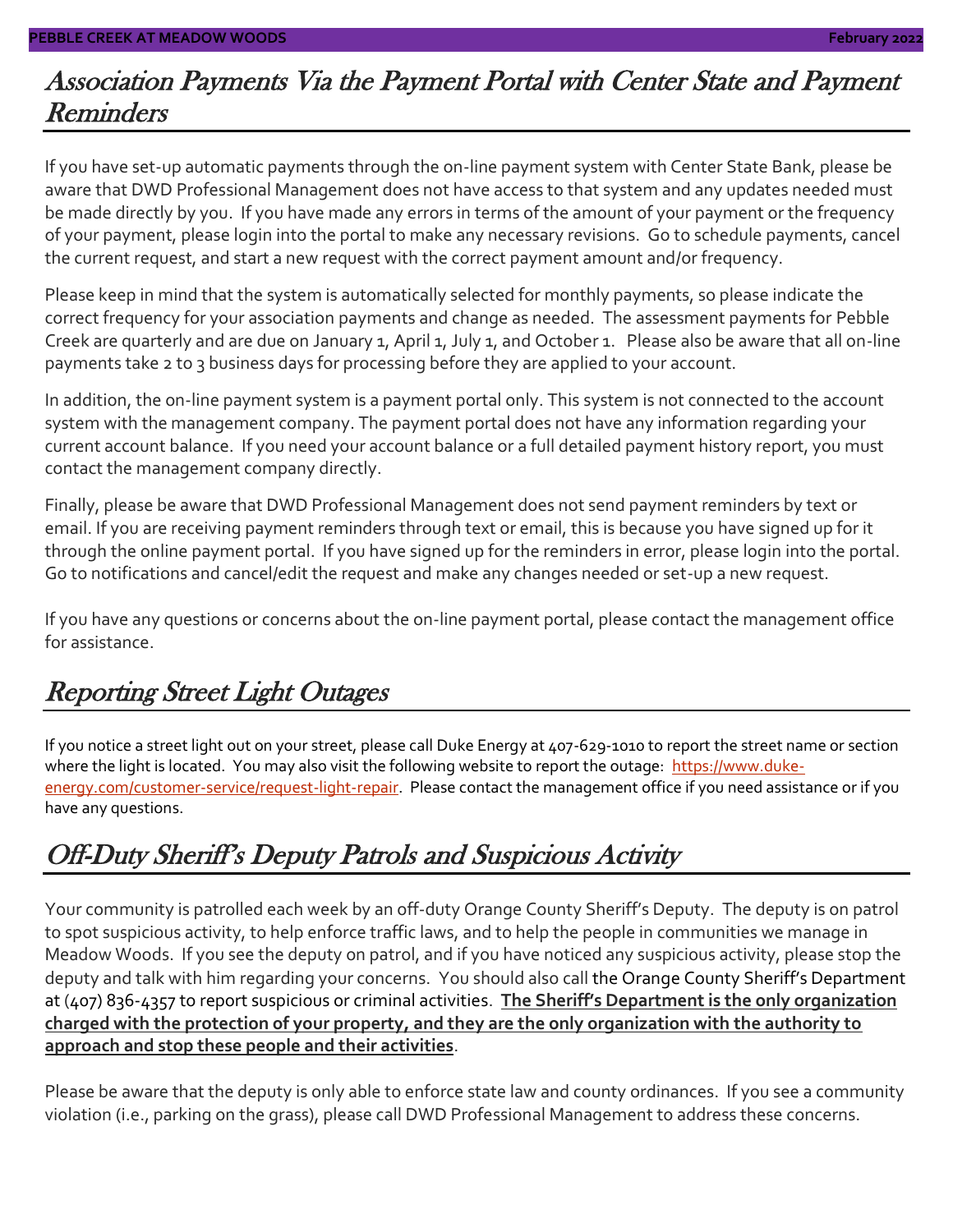#### Association Payments Via the Payment Portal with Center State and Payment Reminders

If you have set-up automatic payments through the on-line payment system with Center State Bank, please be aware that DWD Professional Management does not have access to that system and any updates needed must be made directly by you. If you have made any errors in terms of the amount of your payment or the frequency of your payment, please login into the portal to make any necessary revisions. Go to schedule payments, cancel the current request, and start a new request with the correct payment amount and/or frequency.

Please keep in mind that the system is automatically selected for monthly payments, so please indicate the correct frequency for your association payments and change as needed. The assessment payments for Pebble Creek are quarterly and are due on January 1, April 1, July 1, and October 1. Please also be aware that all on-line payments take 2 to 3 business days for processing before they are applied to your account.

In addition, the on-line payment system is a payment portal only. This system is not connected to the account system with the management company. The payment portal does not have any information regarding your current account balance. If you need your account balance or a full detailed payment history report, you must contact the management company directly.

Finally, please be aware that DWD Professional Management does not send payment reminders by text or email. If you are receiving payment reminders through text or email, this is because you have signed up for it through the online payment portal. If you have signed up for the reminders in error, please login into the portal. Go to notifications and cancel/edit the request and make any changes needed or set-up a new request.

If you have any questions or concerns about the on-line payment portal, please contact the management office for assistance.

### Reporting Street Light Outages

If you notice a street light out on your street, please call Duke Energy at 407-629-1010 to report the street name or section where the light is located. You may also visit the following website to report the outage: [https://www.duke](https://www.duke-energy.com/customer-service/request-light-repair)[energy.com/customer-service/request-light-repair.](https://www.duke-energy.com/customer-service/request-light-repair) Please contact the management office if you need assistance or if you have any questions.

# Off-Duty Sheriff's Deputy Patrols and Suspicious Activity

Your community is patrolled each week by an off-duty Orange County Sheriff's Deputy. The deputy is on patrol to spot suspicious activity, to help enforce traffic laws, and to help the people in communities we manage in Meadow Woods. If you see the deputy on patrol, and if you have noticed any suspicious activity, please stop the deputy and talk with him regarding your concerns. You should also call the Orange County Sheriff's Department at (407) 836-4357 to report suspicious or criminal activities. **The Sheriff's Department is the only organization charged with the protection of your property, and they are the only organization with the authority to approach and stop these people and their activities**.

Please be aware that the deputy is only able to enforce state law and county ordinances. If you see a community violation (i.e., parking on the grass), please call DWD Professional Management to address these concerns.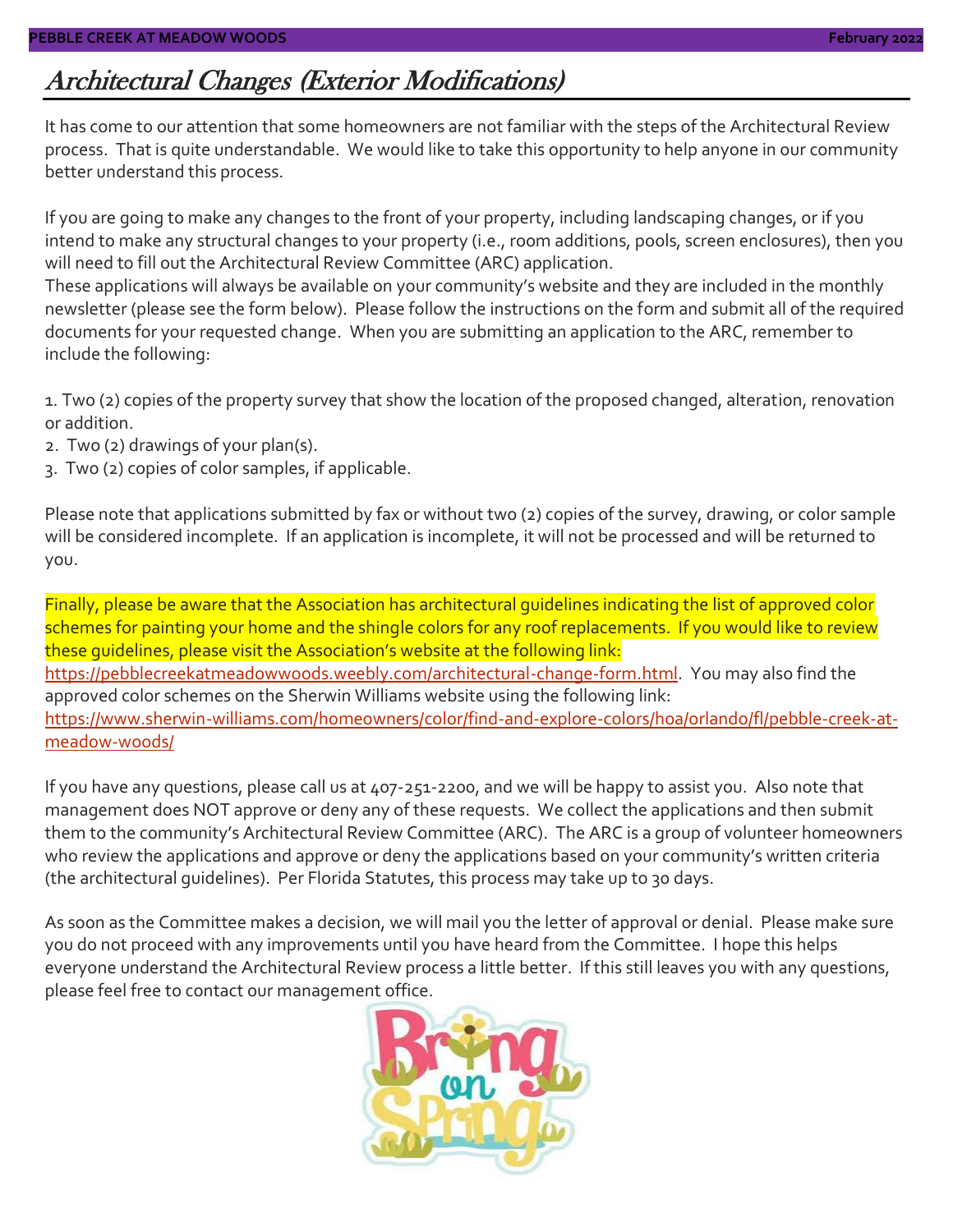#### **PEBBLE CREEK AT MEADOW WOODS February 2022**

### Architectural Changes (Exterior Modifications)

It has come to our attention that some homeowners are not familiar with the steps of the Architectural Review process. That is quite understandable. We would like to take this opportunity to help anyone in our community better understand this process.

If you are going to make any changes to the front of your property, including landscaping changes, or if you intend to make any structural changes to your property (i.e., room additions, pools, screen enclosures), then you will need to fill out the Architectural Review Committee (ARC) application.

These applications will always be available on your community's website and they are included in the monthly newsletter (please see the form below). Please follow the instructions on the form and submit all of the required documents for your requested change. When you are submitting an application to the ARC, remember to include the following:

1. Two (2) copies of the property survey that show the location of the proposed changed, alteration, renovation or addition.

- 2. Two (2) drawings of your plan(s).
- 3. Two (2) copies of color samples, if applicable.

Please note that applications submitted by fax or without two (2) copies of the survey, drawing, or color sample will be considered incomplete. If an application is incomplete, it will not be processed and will be returned to you.

Finally, please be aware that the Association has architectural guidelines indicating the list of approved color schemes for painting your home and the shingle colors for any roof replacements. If you would like to review these guidelines, please visit the Association's website at the following link: [https://pebblecreekatmeadowwoods.weebly.com/architectural-change-form.html.](https://pebblecreekatmeadowwoods.weebly.com/architectural-change-form.html) You may also find the approved color schemes on the Sherwin Williams website using the following link: [https://www.sherwin-williams.com/homeowners/color/find-and-explore-colors/hoa/orlando/fl/pebble-creek-at](https://www.sherwin-williams.com/homeowners/color/find-and-explore-colors/hoa/orlando/fl/pebble-creek-at-meadow-woods/)[meadow-woods/](https://www.sherwin-williams.com/homeowners/color/find-and-explore-colors/hoa/orlando/fl/pebble-creek-at-meadow-woods/)

If you have any questions, please call us at 407-251-2200, and we will be happy to assist you. Also note that management does NOT approve or deny any of these requests. We collect the applications and then submit them to the community's Architectural Review Committee (ARC). The ARC is a group of volunteer homeowners who review the applications and approve or deny the applications based on your community's written criteria (the architectural guidelines). Per Florida Statutes, this process may take up to 30 days.

As soon as the Committee makes a decision, we will mail you the letter of approval or denial. Please make sure you do not proceed with any improvements until you have heard from the Committee. I hope this helps everyone understand the Architectural Review process a little better. If this still leaves you with any questions, please feel free to contact our management office.

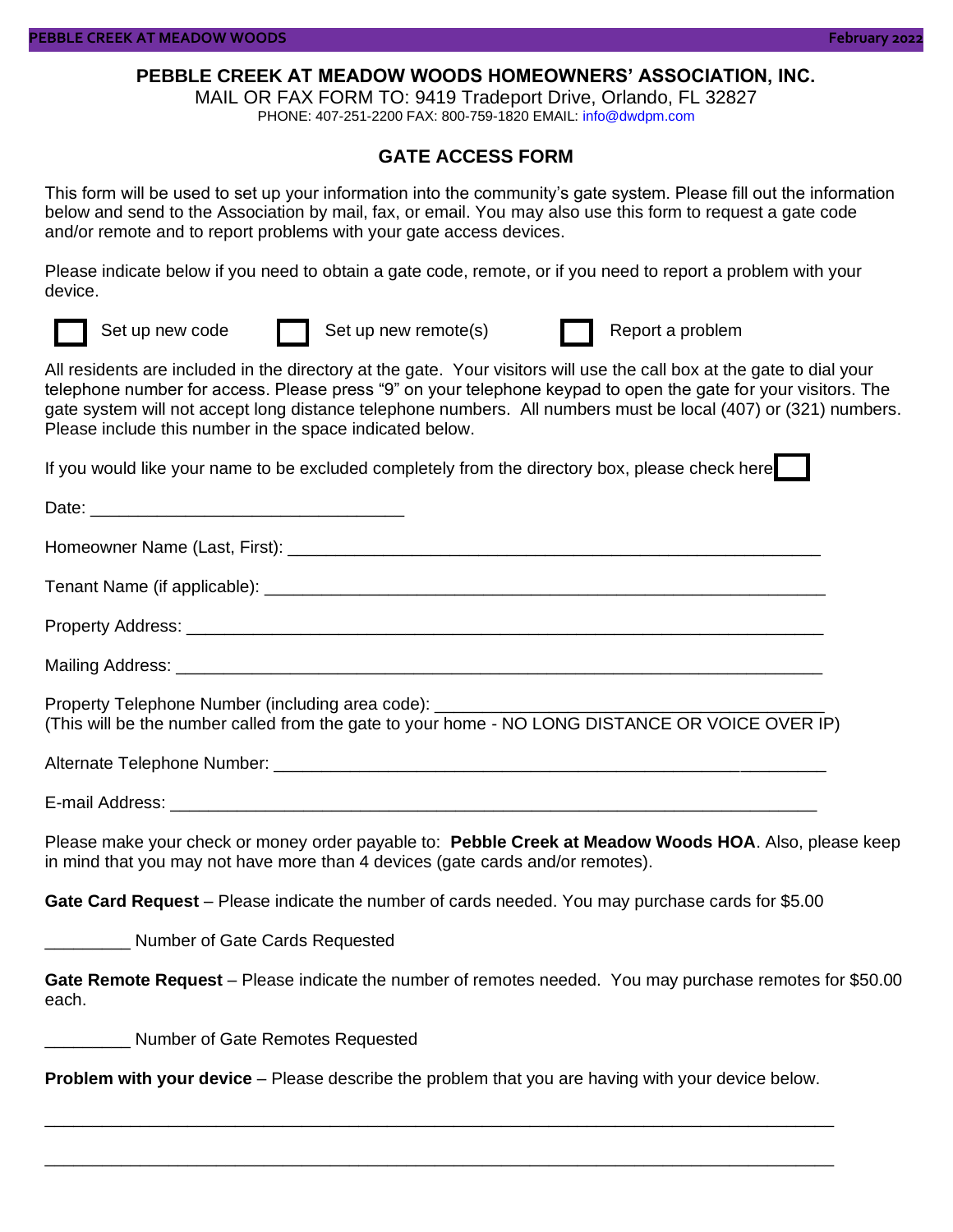#### **PEBBLE CREEK AT MEADOW WOODS HOMEOWNERS' ASSOCIATION, INC.**

MAIL OR FAX FORM TO: 9419 Tradeport Drive, Orlando, FL 32827

PHONE: 407-251-2200 FAX: 800-759-1820 EMAIL: info@dwdpm.com

#### **GATE ACCESS FORM**

This form will be used to set up your information into the community's gate system. Please fill out the information below and send to the Association by mail, fax, or email. You may also use this form to request a gate code and/or remote and to report problems with your gate access devices.

Please indicate below if you need to obtain a gate code, remote, or if you need to report a problem with your device.



Set up new code  $\Box$  Set up new remote(s)  $\Box$  Report a problem

All residents are included in the directory at the gate. Your visitors will use the call box at the gate to dial your telephone number for access. Please press "9" on your telephone keypad to open the gate for your visitors. The gate system will not accept long distance telephone numbers. All numbers must be local (407) or (321) numbers. Please include this number in the space indicated below.

If you would like your name to be excluded completely from the directory box, please check h

| Property Telephone Number (including area code): ________________________<br>(This will be the number called from the gate to your home - NO LONG DISTANCE OR VOICE OVER IP)            |
|-----------------------------------------------------------------------------------------------------------------------------------------------------------------------------------------|
|                                                                                                                                                                                         |
|                                                                                                                                                                                         |
| Please make your check or money order payable to: Pebble Creek at Meadow Woods HOA. Also, please keep<br>in mind that you may not have more than 4 devices (gate cards and/or remotes). |
| Gate Card Request – Please indicate the number of cards needed. You may purchase cards for \$5.00                                                                                       |
| Number of Gate Cards Requested                                                                                                                                                          |
| Gate Remote Request – Please indicate the number of remotes needed. You may purchase remotes for \$50.00<br>                                                                            |

each.

\_\_\_\_\_\_\_\_\_ Number of Gate Remotes Requested

**Problem with your device** – Please describe the problem that you are having with your device below.

\_\_\_\_\_\_\_\_\_\_\_\_\_\_\_\_\_\_\_\_\_\_\_\_\_\_\_\_\_\_\_\_\_\_\_\_\_\_\_\_\_\_\_\_\_\_\_\_\_\_\_\_\_\_\_\_\_\_\_\_\_\_\_\_\_\_\_\_\_\_\_\_\_\_\_\_\_\_\_\_\_\_\_

\_\_\_\_\_\_\_\_\_\_\_\_\_\_\_\_\_\_\_\_\_\_\_\_\_\_\_\_\_\_\_\_\_\_\_\_\_\_\_\_\_\_\_\_\_\_\_\_\_\_\_\_\_\_\_\_\_\_\_\_\_\_\_\_\_\_\_\_\_\_\_\_\_\_\_\_\_\_\_\_\_\_\_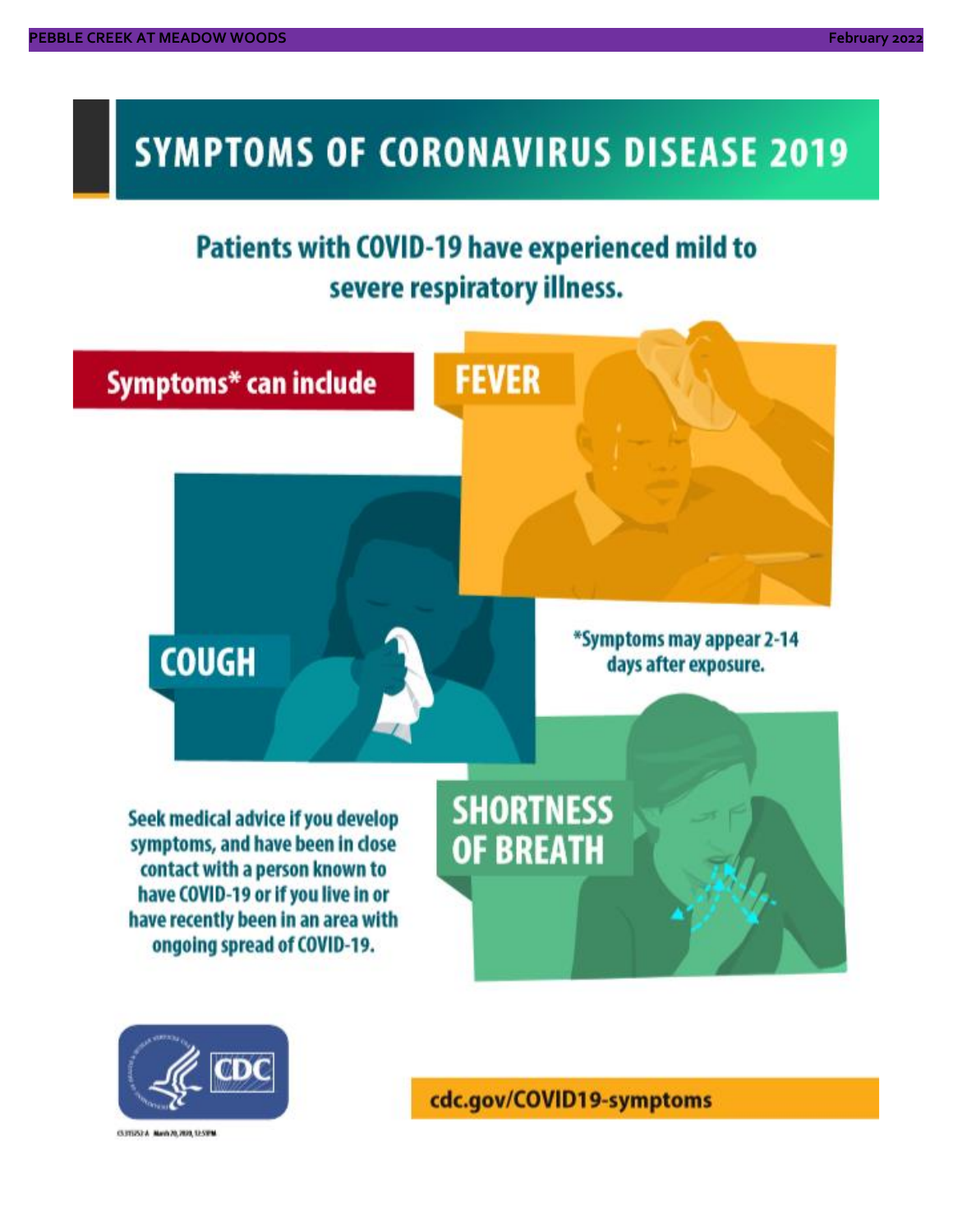# **SYMPTOMS OF CORONAVIRUS DISEASE 2019**

# **Patients with COVID-19 have experienced mild to** severe respiratory illness.





03/02/24 Marin 20, 2020, 12:59%

cdc.gov/COVID19-symptoms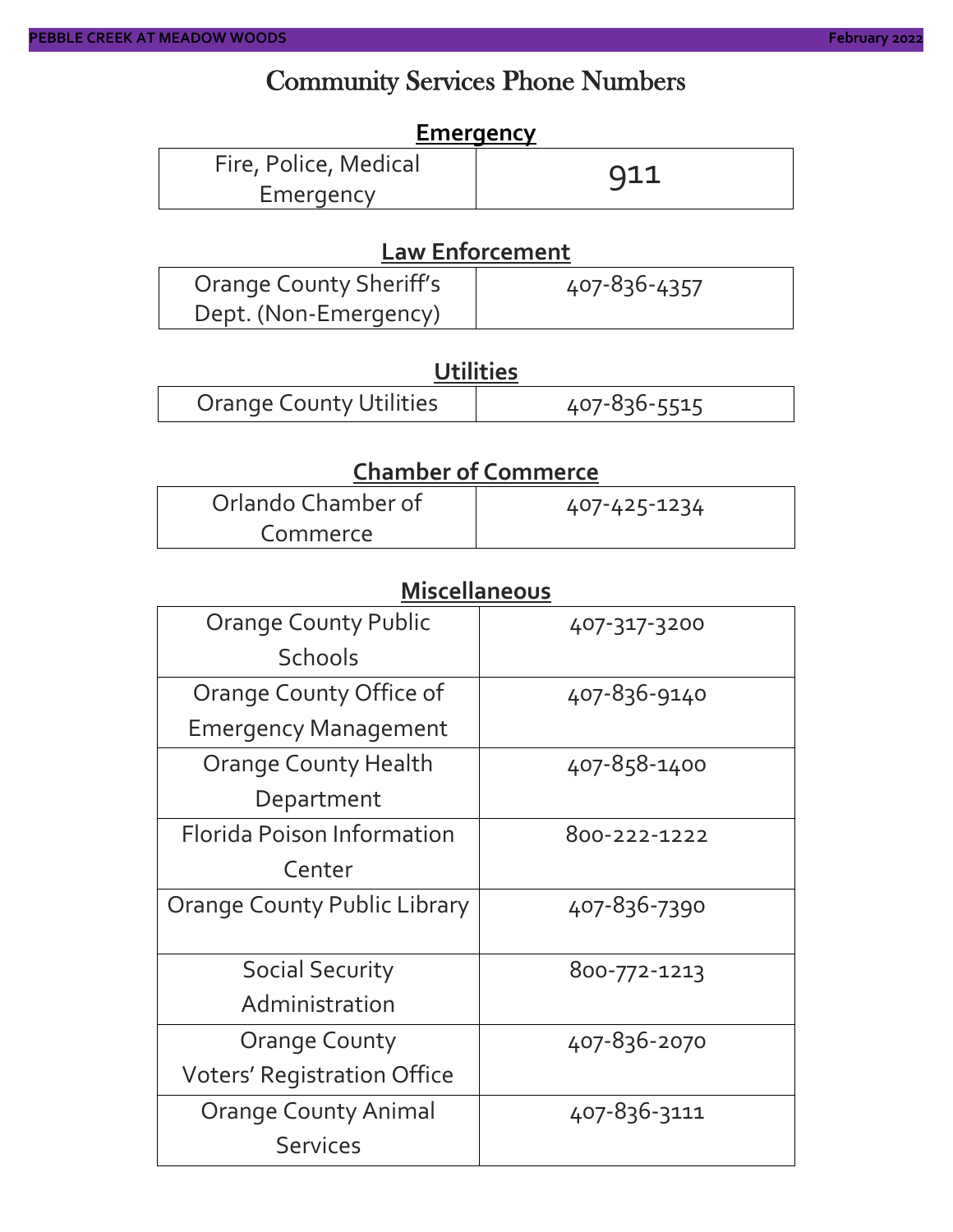### Community Services Phone Numbers

| Emergency                          |  |  |  |  |
|------------------------------------|--|--|--|--|
| Fire, Police, Medical<br>Emergency |  |  |  |  |
|                                    |  |  |  |  |

#### **Law Enforcement**

| <b>Orange County Sheriff's</b> | 407-836-4357 |
|--------------------------------|--------------|
| Dept. (Non-Emergency)          |              |

#### **Utilities**

| <b>Orange County Utilities</b> | 407-836-5515 |
|--------------------------------|--------------|
|--------------------------------|--------------|

#### **Chamber of Commerce**

| Orlando Chamber of | 407-425-1234 |
|--------------------|--------------|
| Commerce           |              |

#### **Miscellaneous**

| <b>Orange County Public</b>         | 407-317-3200 |
|-------------------------------------|--------------|
| <b>Schools</b>                      |              |
| Orange County Office of             | 407-836-9140 |
| <b>Emergency Management</b>         |              |
| <b>Orange County Health</b>         | 407-858-1400 |
| Department                          |              |
| <b>Florida Poison Information</b>   | 800-222-1222 |
| Center                              |              |
| <b>Orange County Public Library</b> | 407-836-7390 |
|                                     |              |
| <b>Social Security</b>              | 800-772-1213 |
| Administration                      |              |
| <b>Orange County</b>                | 407-836-2070 |
| <b>Voters' Registration Office</b>  |              |
| <b>Orange County Animal</b>         | 407-836-3111 |
| <b>Services</b>                     |              |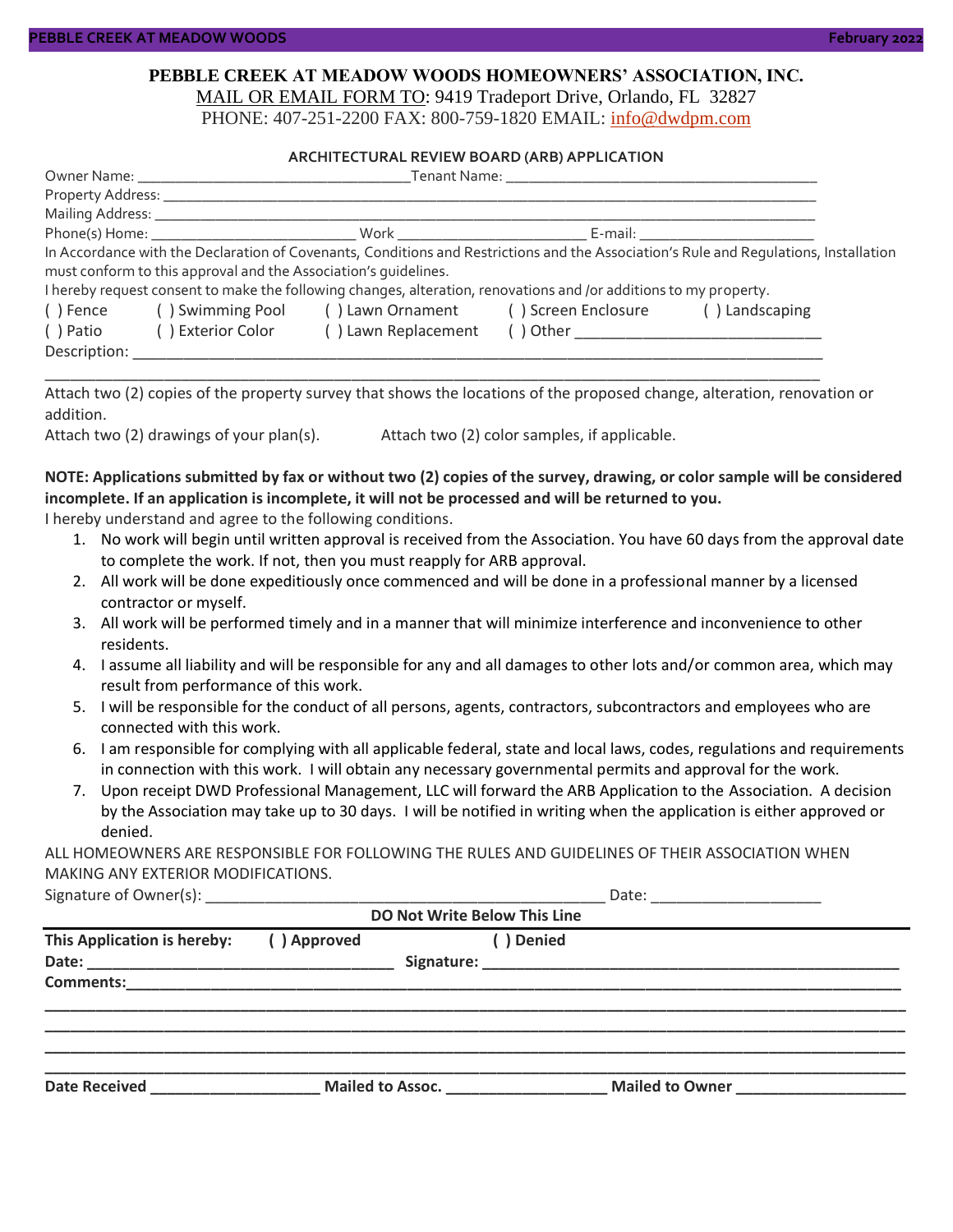#### **PEBBLE CREEK AT MEADOW WOODS HOMEOWNERS' ASSOCIATION, INC.** MAIL OR EMAIL FORM TO: 9419 Tradeport Drive, Orlando, FL 32827

PHONE: 407-251-2200 FAX: 800-759-1820 EMAIL: [info@dwdpm.com](mailto:info@dwdpm.com)

#### **ARCHITECTURAL REVIEW BOARD (ARB) APPLICATION**

|              |                                                                 |                                                                                                                   | Tenant Name: The contract of the contract of the contract of the contract of the contract of the contract of the contract of the contract of the contract of the contract of the contract of the contract of the contract of t |                                                                                                                                                                                                                                |
|--------------|-----------------------------------------------------------------|-------------------------------------------------------------------------------------------------------------------|--------------------------------------------------------------------------------------------------------------------------------------------------------------------------------------------------------------------------------|--------------------------------------------------------------------------------------------------------------------------------------------------------------------------------------------------------------------------------|
|              |                                                                 |                                                                                                                   |                                                                                                                                                                                                                                |                                                                                                                                                                                                                                |
|              | Mailing Address: ________________                               |                                                                                                                   |                                                                                                                                                                                                                                |                                                                                                                                                                                                                                |
|              |                                                                 |                                                                                                                   |                                                                                                                                                                                                                                | E-mail: E-mail: E-mail: E-mail: E-mail: E-mail: E-mail: E-mail: E-mail: E-mail: E-mail: E-mail: E-mail: E-mail: E-mail: E-mail: E-mail: E-mail: E-mail: E-mail: E-mail: E-mail: E-mail: E-mail: E-mail: E-mail: E-mail: E-mail |
|              |                                                                 |                                                                                                                   |                                                                                                                                                                                                                                | In Accordance with the Declaration of Covenants, Conditions and Restrictions and the Association's Rule and Regulations, Installation                                                                                          |
|              | must conform to this approval and the Association's quidelines. |                                                                                                                   |                                                                                                                                                                                                                                |                                                                                                                                                                                                                                |
|              |                                                                 | I hereby request consent to make the following changes, alteration, renovations and /or additions to my property. |                                                                                                                                                                                                                                |                                                                                                                                                                                                                                |
| ( ) Fence    | () Swimming Pool                                                |                                                                                                                   | () Lawn Ornament () Screen Enclosure                                                                                                                                                                                           | () Landscaping                                                                                                                                                                                                                 |
| () Patio     | () Exterior Color                                               | () Lawn Replacement                                                                                               |                                                                                                                                                                                                                                |                                                                                                                                                                                                                                |
| Description: |                                                                 |                                                                                                                   |                                                                                                                                                                                                                                |                                                                                                                                                                                                                                |

Attach two (2) copies of the property survey that shows the locations of the proposed change, alteration, renovation or addition.

\_\_\_\_\_\_\_\_\_\_\_\_\_\_\_\_\_\_\_\_\_\_\_\_\_\_\_\_\_\_\_\_\_\_\_\_\_\_\_\_\_\_\_\_\_\_\_\_\_\_\_\_\_\_\_\_\_\_\_\_\_\_\_\_\_\_\_\_\_\_\_\_\_\_\_\_\_\_\_\_\_\_\_\_\_\_\_\_\_\_\_

Attach two (2) drawings of your plan(s). Attach two (2) color samples, if applicable.

#### **NOTE: Applications submitted by fax or without two (2) copies of the survey, drawing, or color sample will be considered incomplete. If an application is incomplete, it will not be processed and will be returned to you.**

I hereby understand and agree to the following conditions.

- 1. No work will begin until written approval is received from the Association. You have 60 days from the approval date to complete the work. If not, then you must reapply for ARB approval.
- 2. All work will be done expeditiously once commenced and will be done in a professional manner by a licensed contractor or myself.
- 3. All work will be performed timely and in a manner that will minimize interference and inconvenience to other residents.
- 4. I assume all liability and will be responsible for any and all damages to other lots and/or common area, which may result from performance of this work.
- 5. I will be responsible for the conduct of all persons, agents, contractors, subcontractors and employees who are connected with this work.
- 6. I am responsible for complying with all applicable federal, state and local laws, codes, regulations and requirements in connection with this work. I will obtain any necessary governmental permits and approval for the work.
- 7. Upon receipt DWD Professional Management, LLC will forward the ARB Application to the Association. A decision by the Association may take up to 30 days. I will be notified in writing when the application is either approved or denied.

ALL HOMEOWNERS ARE RESPONSIBLE FOR FOLLOWING THE RULES AND GUIDELINES OF THEIR ASSOCIATION WHEN MAKING ANY EXTERIOR MODIFICATIONS.

| Signature of Owner(s): |  |
|------------------------|--|
|                        |  |

| <b>DO Not Write Below This Line</b> |              |                  |                 |  |  |
|-------------------------------------|--------------|------------------|-----------------|--|--|
| This Application is hereby:         | ( ) Approved | ( ) Denied       |                 |  |  |
|                                     |              |                  |                 |  |  |
|                                     |              |                  |                 |  |  |
| Date Received __________________    |              | Mailed to Assoc. | Mailed to Owner |  |  |